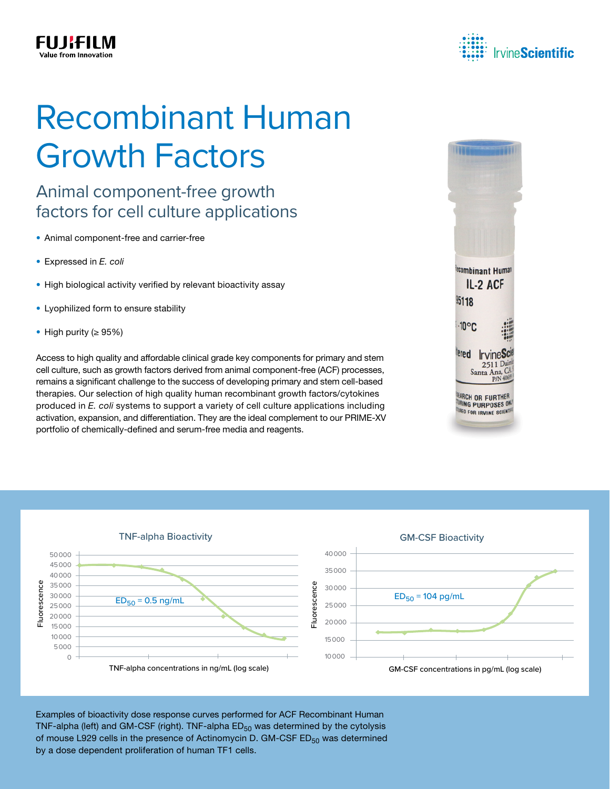

## Recombinant Human Growth Factors

## Animal component-free growth factors for cell culture applications

- Animal component-free and carrier-free
- Expressed in *E. coli*

FU JKFILM

- High biological activity verified by relevant bioactivity assay
- Lyophilized form to ensure stability
- High purity (≥ 95%)

Access to high quality and affordable clinical grade key components for primary and stem cell culture, such as growth factors derived from animal component-free (ACF) processes, remains a significant challenge to the success of developing primary and stem cell-based therapies. Our selection of high quality human recombinant growth factors/cytokines produced in *E. coli* systems to support a variety of cell culture applications including activation, expansion, and differentiation. They are the ideal complement to our PRIME-XV portfolio of chemically-defined and serum-free media and reagents.





Examples of bioactivity dose response curves performed for ACF Recombinant Human TNF-alpha (left) and GM-CSF (right). TNF-alpha  $ED_{50}$  was determined by the cytolysis of mouse L929 cells in the presence of Actinomycin D. GM-CSF  $ED_{50}$  was determined by a dose dependent proliferation of human TF1 cells.